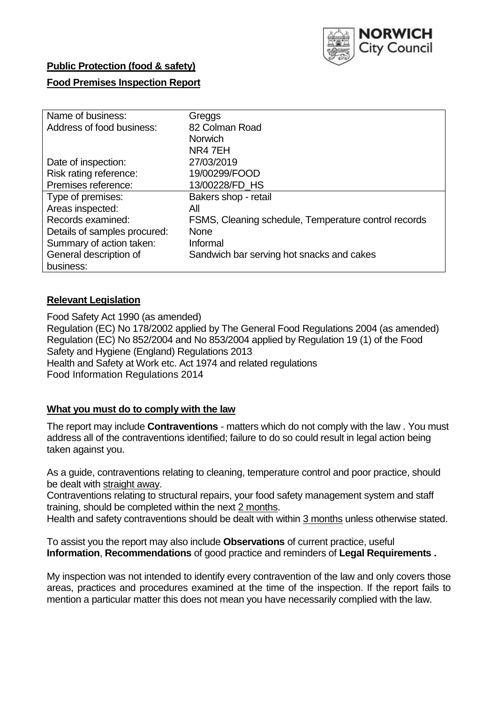

## **Public Protection (food & safety)**

## **Food Premises Inspection Report**

| Name of business:            | Greggs                                               |
|------------------------------|------------------------------------------------------|
| Address of food business:    | 82 Colman Road                                       |
|                              | <b>Norwich</b>                                       |
|                              | NR47EH                                               |
| Date of inspection:          | 27/03/2019                                           |
| Risk rating reference:       | 19/00299/FOOD                                        |
| Premises reference:          | 13/00228/FD HS                                       |
| Type of premises:            | Bakers shop - retail                                 |
| Areas inspected:             | All                                                  |
| Records examined:            | FSMS, Cleaning schedule, Temperature control records |
| Details of samples procured: | <b>None</b>                                          |
| Summary of action taken:     | Informal                                             |
| General description of       | Sandwich bar serving hot snacks and cakes            |
| business:                    |                                                      |

## **Relevant Legislation**

Food Safety Act 1990 (as amended) Regulation (EC) No 178/2002 applied by The General Food Regulations 2004 (as amended) Regulation (EC) No 852/2004 and No 853/2004 applied by Regulation 19 (1) of the Food Safety and Hygiene (England) Regulations 2013 Health and Safety at Work etc. Act 1974 and related regulations Food Information Regulations 2014

## **What you must do to comply with the law**

The report may include **Contraventions** - matters which do not comply with the law . You must address all of the contraventions identified; failure to do so could result in legal action being taken against you.

As a guide, contraventions relating to cleaning, temperature control and poor practice, should be dealt with straight away.

Contraventions relating to structural repairs, your food safety management system and staff training, should be completed within the next 2 months.

Health and safety contraventions should be dealt with within 3 months unless otherwise stated.

To assist you the report may also include **Observations** of current practice, useful **Information**, **Recommendations** of good practice and reminders of **Legal Requirements .**

My inspection was not intended to identify every contravention of the law and only covers those areas, practices and procedures examined at the time of the inspection. If the report fails to mention a particular matter this does not mean you have necessarily complied with the law.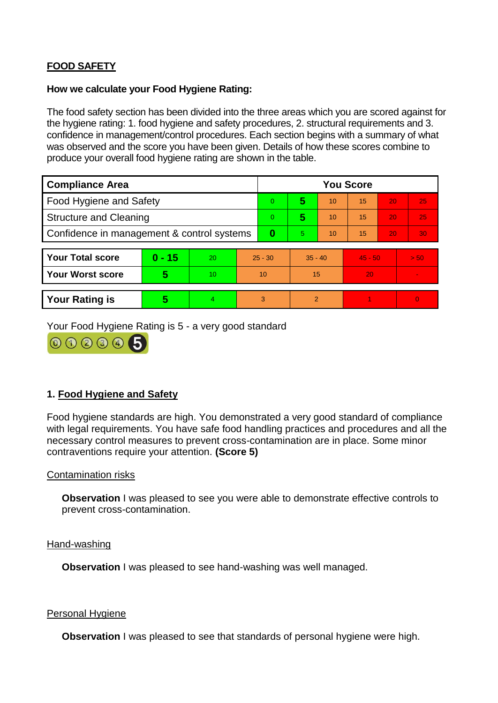# **FOOD SAFETY**

### **How we calculate your Food Hygiene Rating:**

The food safety section has been divided into the three areas which you are scored against for the hygiene rating: 1. food hygiene and safety procedures, 2. structural requirements and 3. confidence in management/control procedures. Each section begins with a summary of what was observed and the score you have been given. Details of how these scores combine to produce your overall food hygiene rating are shown in the table.

| <b>Compliance Area</b>                     |          |                  |           | <b>You Score</b> |                |    |           |    |                |  |  |
|--------------------------------------------|----------|------------------|-----------|------------------|----------------|----|-----------|----|----------------|--|--|
| Food Hygiene and Safety                    |          |                  |           | 0                | 5              | 10 | 15        | 20 | 25             |  |  |
| <b>Structure and Cleaning</b>              |          |                  | 0         | 5                | 10             | 15 | 20        | 25 |                |  |  |
| Confidence in management & control systems |          |                  | $\bf{0}$  | 5                | 10             | 15 | 20        | 30 |                |  |  |
|                                            |          |                  |           |                  |                |    |           |    |                |  |  |
| <b>Your Total score</b>                    | $0 - 15$ | 20               | $25 - 30$ |                  | $35 - 40$      |    | $45 - 50$ |    | > 50           |  |  |
| <b>Your Worst score</b>                    | 5        | 10 <sup>10</sup> | 10        |                  | 15             |    | 20        |    | $\blacksquare$ |  |  |
|                                            |          |                  |           |                  |                |    |           |    |                |  |  |
| <b>Your Rating is</b>                      | 5        | 4                | 3         |                  | $\overline{2}$ |    |           |    | $\Omega$       |  |  |

Your Food Hygiene Rating is 5 - a very good standard



# **1. Food Hygiene and Safety**

Food hygiene standards are high. You demonstrated a very good standard of compliance with legal requirements. You have safe food handling practices and procedures and all the necessary control measures to prevent cross-contamination are in place. Some minor contraventions require your attention. **(Score 5)**

## Contamination risks

**Observation** I was pleased to see you were able to demonstrate effective controls to prevent cross-contamination.

#### Hand-washing

**Observation** I was pleased to see hand-washing was well managed.

#### Personal Hygiene

**Observation** I was pleased to see that standards of personal hygiene were high.